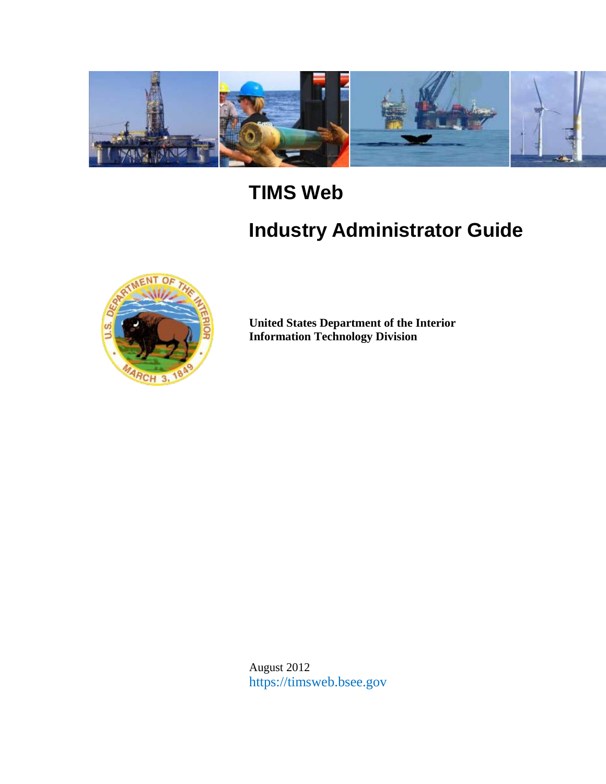

# **TIMS Web**

# **Industry Administrator Guide**



**United States Department of the Interior Information Technology Division**

August 2012 https://timsweb.bsee.gov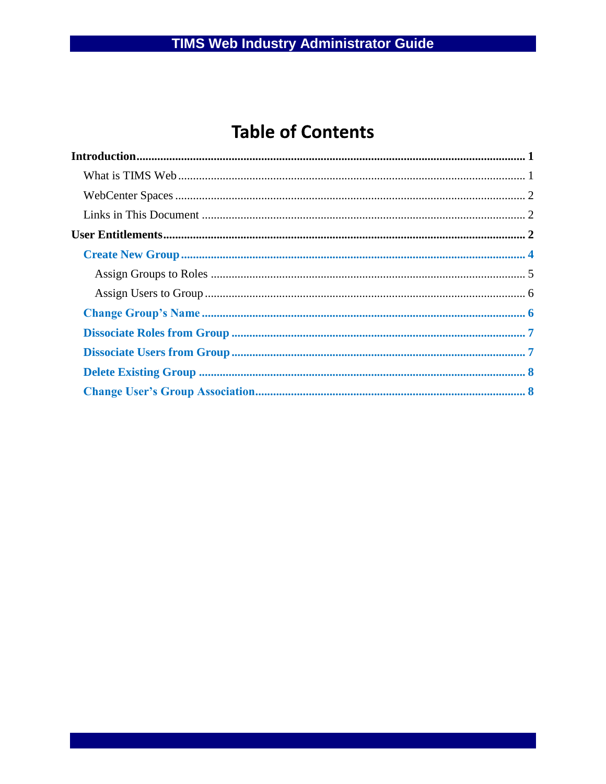## **Table of Contents**

| $Introduction                         1$ |  |
|------------------------------------------|--|
|                                          |  |
|                                          |  |
|                                          |  |
|                                          |  |
|                                          |  |
|                                          |  |
|                                          |  |
|                                          |  |
|                                          |  |
|                                          |  |
|                                          |  |
|                                          |  |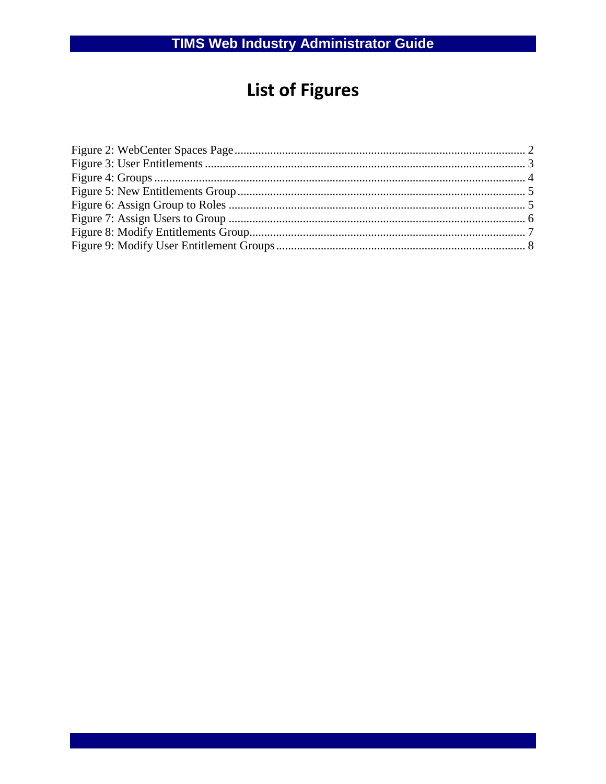# **List of Figures**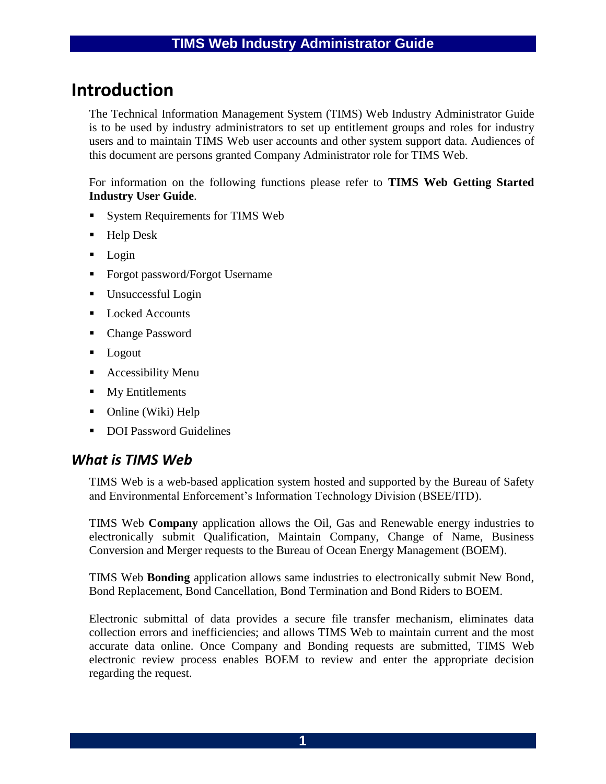## **Introduction**

The Technical Information Management System (TIMS) Web Industry Administrator Guide is to be used by industry administrators to set up entitlement groups and roles for industry users and to maintain TIMS Web user accounts and other system support data. Audiences of this document are persons granted Company Administrator role for TIMS Web.

For information on the following functions please refer to **TIMS Web Getting Started Industry User Guide**.

- System Requirements for TIMS Web
- Help Desk
- $\text{Login}$
- **Forgot password/Forgot Username**
- Unsuccessful Login
- Locked Accounts
- Change Password
- **Logout**
- **Accessibility Menu**
- **My Entitlements**
- Online (Wiki) Help
- DOI Password Guidelines

### *What is TIMS Web*

TIMS Web is a web-based application system hosted and supported by the Bureau of Safety and Environmental Enforcement's Information Technology Division (BSEE/ITD).

TIMS Web **Company** application allows the Oil, Gas and Renewable energy industries to electronically submit Qualification, Maintain Company, Change of Name, Business Conversion and Merger requests to the Bureau of Ocean Energy Management (BOEM).

TIMS Web **Bonding** application allows same industries to electronically submit New Bond, Bond Replacement, Bond Cancellation, Bond Termination and Bond Riders to BOEM.

Electronic submittal of data provides a secure file transfer mechanism, eliminates data collection errors and inefficiencies; and allows TIMS Web to maintain current and the most accurate data online. Once Company and Bonding requests are submitted, TIMS Web electronic review process enables BOEM to review and enter the appropriate decision regarding the request.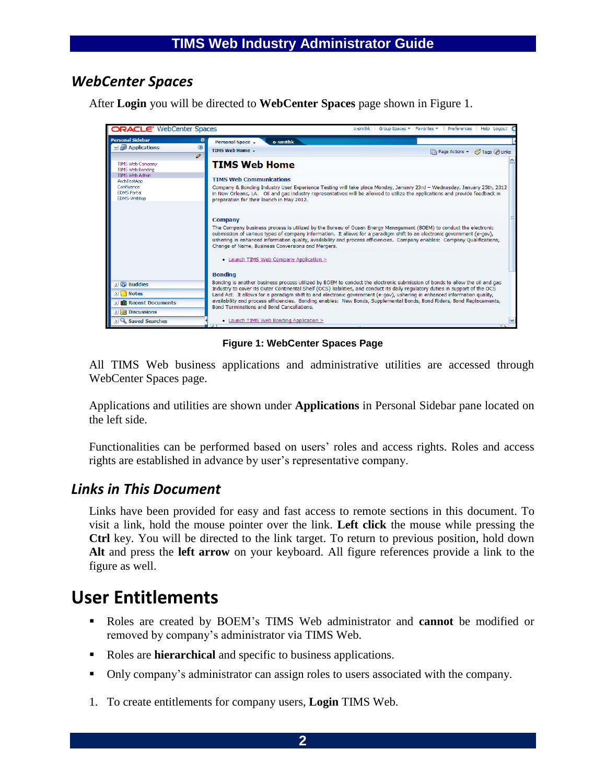## *WebCenter Spaces*

After **Login** you will be directed to **WebCenter Spaces** page shown in [Figure 1.](#page-4-0)



**Figure 1: WebCenter Spaces Page**

<span id="page-4-0"></span>All TIMS Web business applications and administrative utilities are accessed through WebCenter Spaces page.

Applications and utilities are shown under **Applications** in Personal Sidebar pane located on the left side.

Functionalities can be performed based on users' roles and access rights. Roles and access rights are established in advance by user's representative company.

### *Links in This Document*

Links have been provided for easy and fast access to remote sections in this document. To visit a link, hold the mouse pointer over the link. **Left click** the mouse while pressing the **Ctrl** key. You will be directed to the link target. To return to previous position, hold down **Alt** and press the **left arrow** on your keyboard. All figure references provide a link to the figure as well.

## **User Entitlements**

- Roles are created by BOEM's TIMS Web administrator and **cannot** be modified or removed by company's administrator via TIMS Web.
- Roles are **hierarchical** and specific to business applications.
- Only company's administrator can assign roles to users associated with the company.
- 1. To create entitlements for company users, **Login** TIMS Web.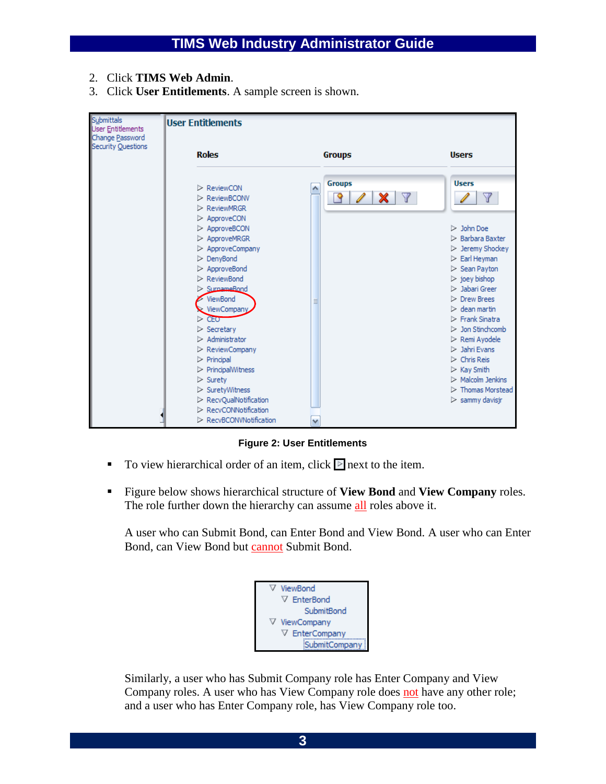- 2. Click **TIMS Web Admin**.
- 3. Click **User Entitlements**. A sample screen is shown.



**Figure 2: User Entitlements**

- To view hierarchical order of an item, click  $\blacktriangleright$  next to the item.
- Figure below shows hierarchical structure of **View Bond** and **View Company** roles. The role further down the hierarchy can assume all roles above it.

A user who can Submit Bond, can Enter Bond and View Bond. A user who can Enter Bond, can View Bond but cannot Submit Bond.

| ViewBond            |
|---------------------|
| ▽ EnterBond         |
| SubmitBond          |
| ViewCompany         |
| <b>EnterCompany</b> |
| SubmitCompai        |

Similarly, a user who has Submit Company role has Enter Company and View Company roles. A user who has View Company role does not have any other role; and a user who has Enter Company role, has View Company role too.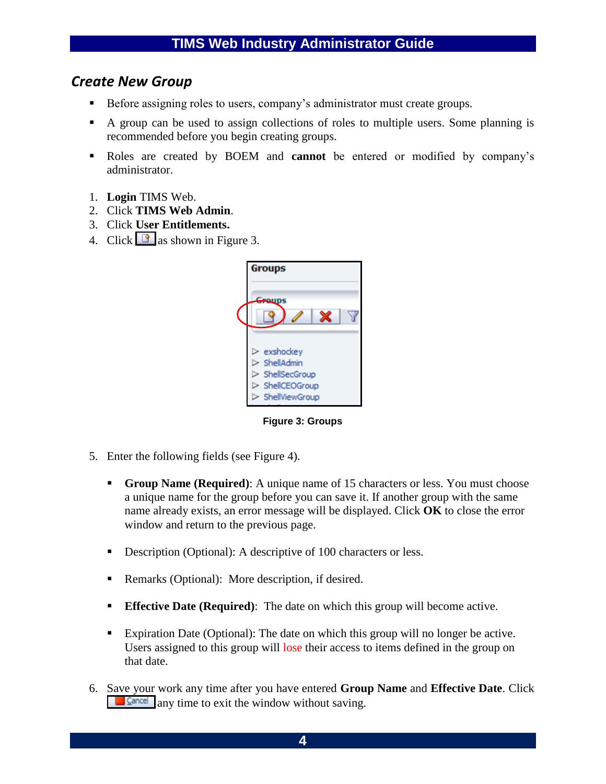## *Create New Group*

- Before assigning roles to users, company's administrator must create groups.
- A group can be used to assign collections of roles to multiple users. Some planning is recommended before you begin creating groups.
- Roles are created by BOEM and **cannot** be entered or modified by company's administrator.
- 1. **Login** TIMS Web.
- 2. Click **TIMS Web Admin**.
- 3. Click **User Entitlements.**
- 4. Click  $\Box$  as shown in [Figure 3.](#page-6-0)



**Figure 3: Groups**

- <span id="page-6-0"></span>5. Enter the following fields (see [Figure 4\)](#page-7-0).
	- **Group Name (Required)**: A unique name of 15 characters or less. You must choose a unique name for the group before you can save it. If another group with the same name already exists, an error message will be displayed. Click **OK** to close the error window and return to the previous page.
	- Description (Optional): A descriptive of 100 characters or less.
	- Remarks (Optional): More description, if desired.
	- **Effective Date (Required)**: The date on which this group will become active.
	- Expiration Date (Optional): The date on which this group will no longer be active. Users assigned to this group will lose their access to items defined in the group on that date.
- 6. Save your work any time after you have entered **Group Name** and **Effective Date**. Click any time to exit the window without saving.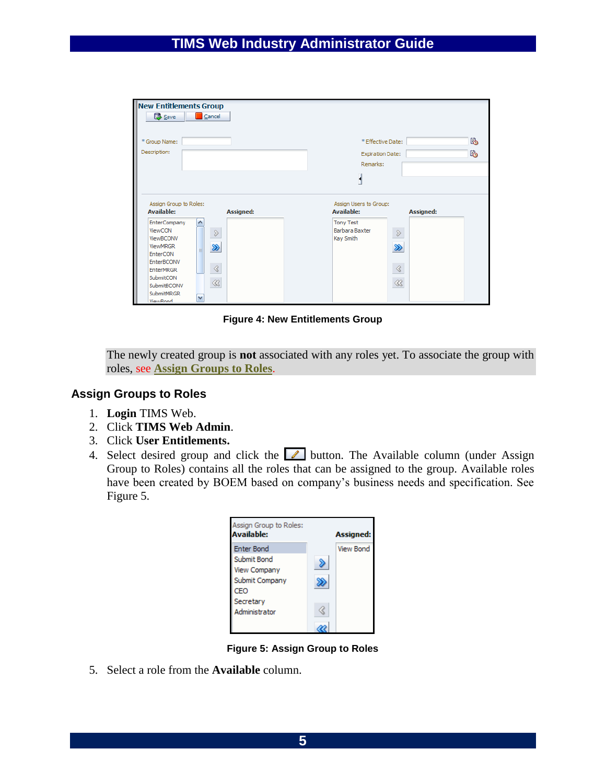| <b>New Entitlements Group</b><br><b>B</b> Save                                                                                                                                          | Cancel                                                      |                                                          |                                                   |
|-----------------------------------------------------------------------------------------------------------------------------------------------------------------------------------------|-------------------------------------------------------------|----------------------------------------------------------|---------------------------------------------------|
| * Group Name:<br>Description:                                                                                                                                                           |                                                             | * Effective Date:<br><b>Expiration Date:</b><br>Remarks: | l.<br>r.                                          |
| Assign Group to Roles:<br><b>Available:</b>                                                                                                                                             | <b>Assigned:</b>                                            | Assign Users to Group:<br><b>Available:</b>              | <b>Assigned:</b>                                  |
| <b>EnterCompany</b><br>ViewCON<br>ViewBCONV<br><b>ViewMRGR</b><br>EnterCON<br>EnterBCONV<br><b>EnterMRGR</b><br>SubmitCON<br>SubmitBCONV<br><b>SubmitMRGR</b><br><b><i>ViewRood</i></b> | $\, \mathcal{D}$<br>≫<br>Ë<br>$\triangleleft$<br>$\ll$<br>٧ | <b>Tony Test</b><br>Barbara Baxter<br>Kay Smith          | ≫<br>$\mathrel{\mathrel{\triangleleft}}$<br>$\ll$ |

**Figure 4: New Entitlements Group**

<span id="page-7-0"></span>The newly created group is **not** associated with any roles yet. To associate the group with roles, see **[Assign Groups to Roles](#page-7-1)**.

#### <span id="page-7-1"></span>**Assign Groups to Roles**

- 1. **Login** TIMS Web.
- 2. Click **TIMS Web Admin**.
- 3. Click **User Entitlements.**
- 4. Select desired group and click the  $\Box$  button. The Available column (under Assign Group to Roles) contains all the roles that can be assigned to the group. Available roles have been created by BOEM based on company's business needs and specification. See [Figure 5.](#page-7-2)

| Assign Group to Roles:<br>Available: | <b>Assigned:</b> |
|--------------------------------------|------------------|
| <b>Enter Bond</b>                    | <b>View Bond</b> |
| Submit Bond<br><b>View Company</b>   |                  |
| Submit Company<br>CFO                |                  |
| Secretary<br>Administrator           |                  |
|                                      |                  |

**Figure 5: Assign Group to Roles**

<span id="page-7-2"></span>5. Select a role from the **Available** column.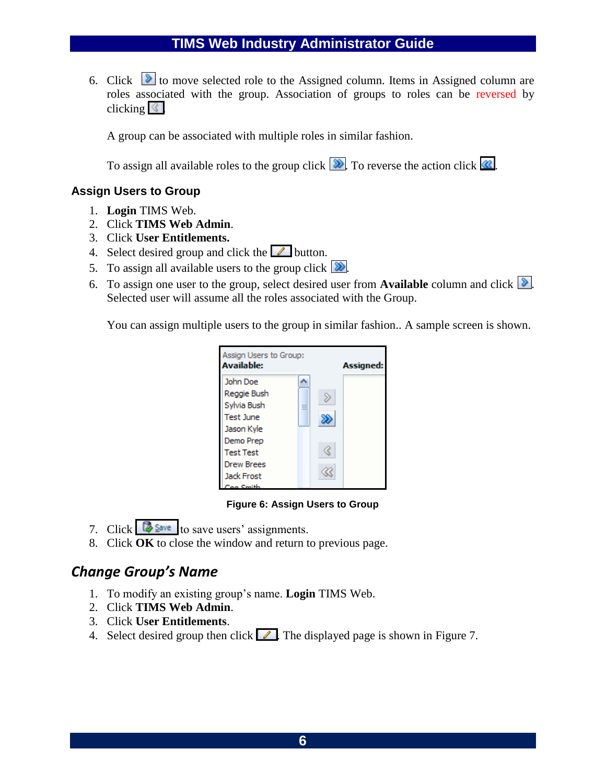#### **TIMS Web Industry Administrator Guide**

6. Click  $\triangleright$  to move selected role to the Assigned column. Items in Assigned column are roles associated with the group. Association of groups to roles can be reversed by clicking  $\leq$ .

A group can be associated with multiple roles in similar fashion.

To assign all available roles to the group click  $\boxed{\&}$ . To reverse the action click  $\&$ .

#### **Assign Users to Group**

- 1. **Login** TIMS Web.
- 2. Click **TIMS Web Admin**.
- 3. Click **User Entitlements.**
- 4. Select desired group and click the  $\Box$  button.
- 5. To assign all available users to the group click  $\boxed{\&}$ .
- 6. To assign one user to the group, select desired user from **Available** column and click  $\mathcal{L}$ . Selected user will assume all the roles associated with the Group.

You can assign multiple users to the group in similar fashion.. A sample screen is shown.



#### **Figure 6: Assign Users to Group**

- 7. Click  $\frac{1}{2}$  Save to save users' assignments.
- 8. Click **OK** to close the window and return to previous page.

### *Change Group's Name*

- 1. To modify an existing group's name. **Login** TIMS Web.
- 2. Click **TIMS Web Admin**.
- 3. Click **User Entitlements**.
- 4. Select desired group then click  $\blacksquare$ . The displayed page is shown in [Figure 7.](#page-9-0)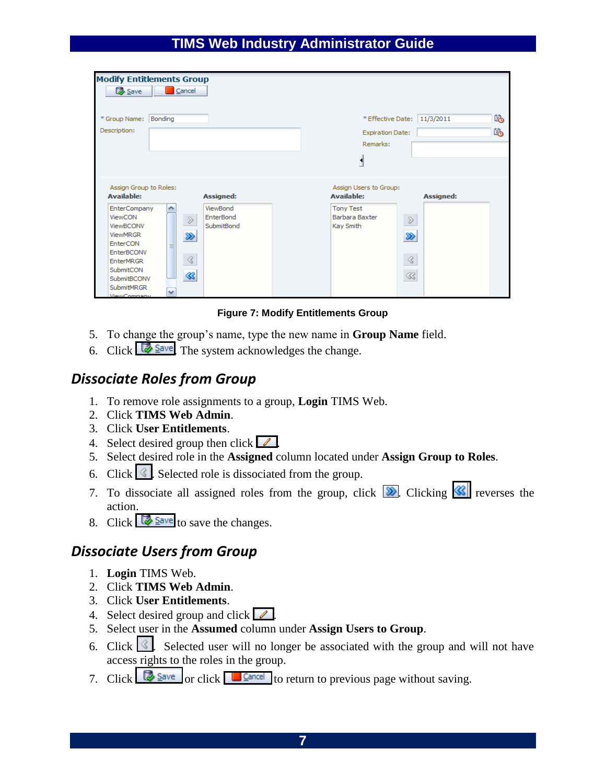#### **TIMS Web Industry Administrator Guide**

| <b>Modify Entitlements Group</b><br><b>B</b> Save                                                                                                                                                                                         | Cancel                         |                                                         |                                                                                                       |                                                     |        |
|-------------------------------------------------------------------------------------------------------------------------------------------------------------------------------------------------------------------------------------------|--------------------------------|---------------------------------------------------------|-------------------------------------------------------------------------------------------------------|-----------------------------------------------------|--------|
| * Group Name: Bonding<br>Description:                                                                                                                                                                                                     |                                |                                                         | * Effective Date:<br><b>Expiration Date:</b><br>Remarks:                                              | 11/3/2011                                           | 內<br>咯 |
| Assign Group to Roles:<br><b>Available:</b><br><b>EnterCompany</b><br>ViewCON<br>ViewBCONV<br><b>ViewMRGR</b><br>EnterCON<br>EnterBCONV<br><b>EnterMRGR</b><br>SubmitCON<br>SubmitBCONV<br><b>SubmitMRGR</b><br><b><i>ViewCompany</i></b> | $\gg$<br>≫<br>言<br>⊰<br>≪<br>٧ | Assigned:<br>ViewBond<br><b>EnterBond</b><br>SubmitBond | Assign Users to Group:<br><b>Available:</b><br><b>Tony Test</b><br><b>Barbara Baxter</b><br>Kay Smith | Assigned:<br>$\gg$<br>≫<br>$\triangleleft$<br>$\ll$ |        |

**Figure 7: Modify Entitlements Group**

- <span id="page-9-0"></span>5. To change the group's name, type the new name in **Group Name** field.
- 6. Click  $\frac{1}{2}$  Save The system acknowledges the change.

## <span id="page-9-1"></span>*Dissociate Roles from Group*

- 1. To remove role assignments to a group, **Login** TIMS Web.
- 2. Click **TIMS Web Admin**.
- 3. Click **User Entitlements**.
- 4. Select desired group then click  $\boxed{\mathcal{L}}$ .
- 5. Select desired role in the **Assigned** column located under **Assign Group to Roles**.
- 6. Click  $\leq$ . Selected role is dissociated from the group.
- 7. To dissociate all assigned roles from the group, click  $\boxed{\gg}$  Clicking  $\boxed{\ll}$  reverses the action.
- 8. Click  $\frac{1}{2}$  Save to save the changes.

### <span id="page-9-2"></span>*Dissociate Users from Group*

- 1. **Login** TIMS Web.
- 2. Click **TIMS Web Admin**.
- 3. Click **User Entitlements**.
- 4. Select desired group and click  $\sqrt{2}$ .
- 5. Select user in the **Assumed** column under **Assign Users to Group**.
- 6. Click  $\leq$ . Selected user will no longer be associated with the group and will not have access rights to the roles in the group.
- 7. Click  $\sqrt{\frac{S_{\text{ave}}}{s}}$  or click  $\sqrt{\frac{S_{\text{ave}}}{s}}$  to return to previous page without saving.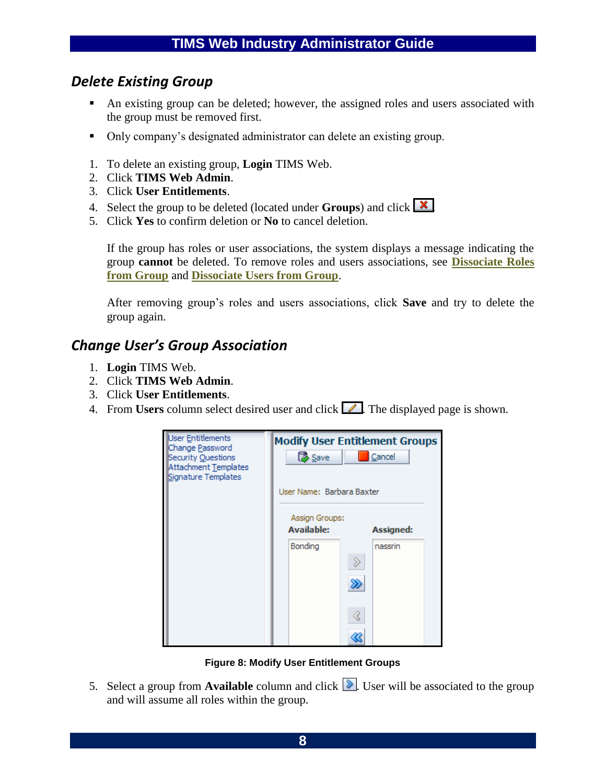## *Delete Existing Group*

- An existing group can be deleted; however, the assigned roles and users associated with the group must be removed first.
- Only company's designated administrator can delete an existing group.
- 1. To delete an existing group, **Login** TIMS Web.
- 2. Click **TIMS Web Admin**.
- 3. Click **User Entitlements**.
- 4. Select the group to be deleted (located under **Groups**) and click  $\boxed{\mathbf{X}}$
- 5. Click **Yes** to confirm deletion or **No** to cancel deletion.

If the group has roles or user associations, the system displays a message indicating the group **cannot** be deleted. To remove roles and users associations, see **[Dissociate Roles](#page-9-1)  [from Group](#page-9-1)** and **[Dissociate Users from Group](#page-9-2)**.

After removing group's roles and users associations, click **Save** and try to delete the group again.

## *Change User's Group Association*

- 1. **Login** TIMS Web.
- 2. Click **TIMS Web Admin**.
- 3. Click **User Entitlements**.
- 4. From **Users** column select desired user and click  $\sqrt{\phantom{a}}$ . The displayed page is shown.



**Figure 8: Modify User Entitlement Groups**

5. Select a group from **Available** column and click  $\triangleright$ . User will be associated to the group and will assume all roles within the group.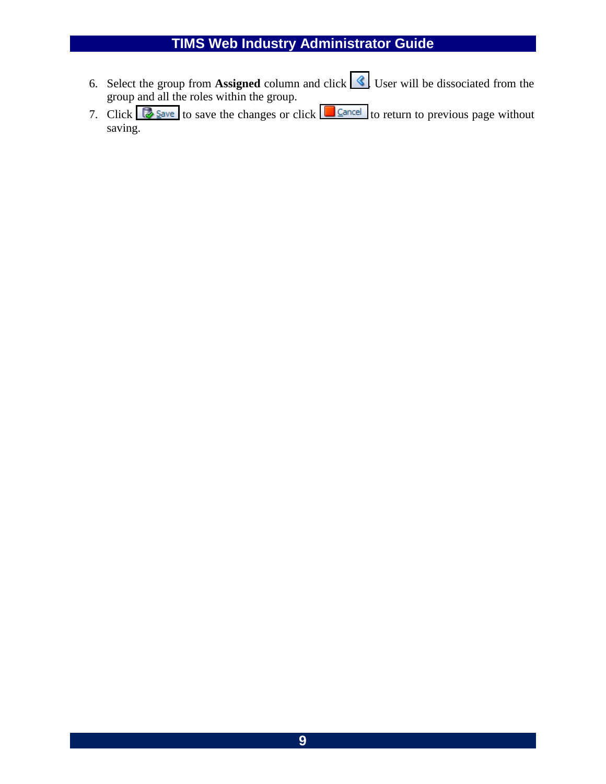## **TIMS Web Industry Administrator Guide**

- 6. Select the group from **Assigned** column and click  $\leq$  User will be dissociated from the group and all the roles within the group.
- 7. Click  $\frac{1}{\sqrt{2}}$  Save to save the changes or click  $\frac{1}{\sqrt{2}}$  Cancel to return to previous page without saving.